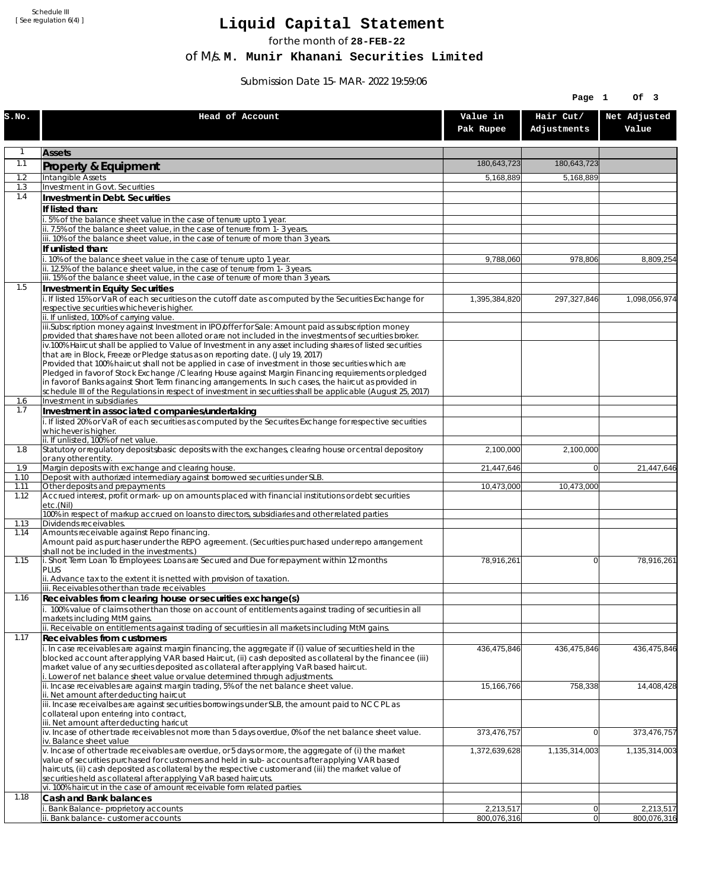Schedule III [ See regulation 6(4) ]

## **Liquid Capital Statement**

for the month of **28-FEB-22**

of M/s. **M. Munir Khanani Securities Limited**

Submission Date 15-MAR-2022 19:59:06

|              |                                                                                                                                                                                                                        |                       | Page 1                   | Of 3                  |
|--------------|------------------------------------------------------------------------------------------------------------------------------------------------------------------------------------------------------------------------|-----------------------|--------------------------|-----------------------|
| S.NO.        | Head of Account                                                                                                                                                                                                        | Value in<br>Pak Rupee | Hair Cut/<br>Adjustments | Net Adjusted<br>Value |
| 1            | <b>Assets</b>                                                                                                                                                                                                          |                       |                          |                       |
| 1.1          | Property & Equipment                                                                                                                                                                                                   | 180,643,723           | 180,643,723              |                       |
| 1.2          | Intangible Assets                                                                                                                                                                                                      | 5,168,889             | 5,168,889                |                       |
| 1.3<br>1.4   | Investment in Govt. Securities<br>Investment in Debt. Securities                                                                                                                                                       |                       |                          |                       |
|              | If listed than:                                                                                                                                                                                                        |                       |                          |                       |
|              | i. 5% of the balance sheet value in the case of tenure upto 1 year.                                                                                                                                                    |                       |                          |                       |
|              | ii. 7.5% of the balance sheet value, in the case of tenure from 1-3 years.                                                                                                                                             |                       |                          |                       |
|              | iii. 10% of the balance sheet value, in the case of tenure of more than 3 years.<br>If unlisted than:                                                                                                                  |                       |                          |                       |
|              | i. 10% of the balance sheet value in the case of tenure upto 1 year.                                                                                                                                                   | 9,788,060             | 978,806                  | 8,809,254             |
|              | ii. 12.5% of the balance sheet value, in the case of tenure from 1-3 years.                                                                                                                                            |                       |                          |                       |
| 1.5          | iii. 15% of the balance sheet value, in the case of tenure of more than 3 years.<br>Investment in Equity Securities                                                                                                    |                       |                          |                       |
|              | i. If listed 15% or VaR of each securities on the cutoff date as computed by the Securities Exchange for                                                                                                               | 1,395,384,820         | 297,327,846              | 1,098,056,974         |
|              | respective securities whichever is higher.                                                                                                                                                                             |                       |                          |                       |
|              | ii. If unlisted, 100% of carrying value.<br>iii.Subscription money against Investment in IPO/offer for Sale: Amount paid as subscription money                                                                         |                       |                          |                       |
|              | provided that shares have not been alloted or are not included in the investments of securities broker.                                                                                                                |                       |                          |                       |
|              | iv.100% Haircut shall be applied to Value of Investment in any asset including shares of listed securities                                                                                                             |                       |                          |                       |
|              | that are in Block, Freeze or Pledge status as on reporting date. (July 19, 2017)<br>Provided that 100% haircut shall not be applied in case of investment in those securities which are                                |                       |                          |                       |
|              | Pledged in favor of Stock Exchange / Clearing House against Margin Financing requirements or pledged                                                                                                                   |                       |                          |                       |
|              | in favor of Banks against Short Term financing arrangements. In such cases, the haircut as provided in<br>schedule III of the Regulations in respect of investment in securities shall be applicable (August 25, 2017) |                       |                          |                       |
| 1.6          | Investment in subsidiaries                                                                                                                                                                                             |                       |                          |                       |
| 1.7          | Investment in associated companies/undertaking                                                                                                                                                                         |                       |                          |                       |
|              | i. If listed 20% or VaR of each securities as computed by the Securites Exchange for respective securities<br>whichever is higher.                                                                                     |                       |                          |                       |
|              | ii. If unlisted, 100% of net value.                                                                                                                                                                                    |                       |                          |                       |
| 1.8          | Statutory or regulatory deposits/basic deposits with the exchanges, clearing house or central depository                                                                                                               | 2,100,000             | 2,100,000                |                       |
| 1.9          | or any other entity.<br>Margin deposits with exchange and clearing house.                                                                                                                                              | 21,447,646            | $\overline{0}$           | 21,447,646            |
| 1.10         | Deposit with authorized intermediary against borrowed securities under SLB.                                                                                                                                            |                       |                          |                       |
| 1.11<br>1.12 | Other deposits and prepayments<br>Accrued interest, profit or mark-up on amounts placed with financial institutions or debt securities                                                                                 | 10,473,000            | 10,473,000               |                       |
|              | etc.(Nil)                                                                                                                                                                                                              |                       |                          |                       |
| 1.13         | 100% in respect of markup accrued on loans to directors, subsidiaries and other related parties<br>Dividends receivables.                                                                                              |                       |                          |                       |
| 1.14         | Amounts receivable against Repo financing.                                                                                                                                                                             |                       |                          |                       |
|              | Amount paid as purchaser under the REPO agreement. (Securities purchased under repo arrangement                                                                                                                        |                       |                          |                       |
| 1.15         | shall not be included in the investments.)<br>i. Short Term Loan To Employees: Loans are Secured and Due for repayment within 12 months                                                                                | 78,916,261            | $\overline{0}$           | 78,916,261            |
|              | <b>PLUS</b>                                                                                                                                                                                                            |                       |                          |                       |
|              | ii. Advance tax to the extent it is netted with provision of taxation.<br>iii. Receivables other than trade receivables                                                                                                |                       |                          |                       |
| 1.16         | Receivables from clearing house or securities exchange(s)                                                                                                                                                              |                       |                          |                       |
|              | i. 100% value of claims other than those on account of entitlements against trading of securities in all                                                                                                               |                       |                          |                       |
|              | markets including MtM gains.<br>ii. Receivable on entitlements against trading of securities in all markets including MtM gains.                                                                                       |                       |                          |                       |
| 1.17         | <b>Receivables from customers</b>                                                                                                                                                                                      |                       |                          |                       |
|              | i. In case receivables are against margin financing, the aggregate if (i) value of securities held in the                                                                                                              | 436,475,846           | 436,475,846              | 436,475,846           |
|              | blocked account after applying VAR based Haircut, (ii) cash deposited as collateral by the financee (iii)<br>market value of any securities deposited as collateral after applying VaR based haircut.                  |                       |                          |                       |
|              | i. Lower of net balance sheet value or value determined through adjustments.                                                                                                                                           |                       |                          |                       |
|              | ii. Incase receivables are against margin trading, 5% of the net balance sheet value.                                                                                                                                  | 15,166,766            | 758,338                  | 14,408,428            |
|              | ii. Net amount after deducting haircut<br>iii. Incase receivalbes are against securities borrowings under SLB, the amount paid to NCCPL as                                                                             |                       |                          |                       |
|              | collateral upon entering into contract,                                                                                                                                                                                |                       |                          |                       |
|              | iii. Net amount after deducting haricut<br>$iv.$ Incase of other trade receivables not more than 5 days overdue, 0% of the net balance sheet value.                                                                    | 373,476,757           | $\Omega$                 | 373,476,757           |
|              | iv. Balance sheet value                                                                                                                                                                                                |                       |                          |                       |
|              | v. Incase of other trade receivables are overdue, or 5 days or more, the aggregate of (i) the market                                                                                                                   | 1,372,639,628         | 1,135,314,003            | 1,135,314,003         |
|              | value of securities purchased for customers and held in sub-accounts after applying VAR based<br>haircuts, (ii) cash deposited as collateral by the respective customer and (iii) the market value of                  |                       |                          |                       |
|              | securities held as collateral after applying VaR based haircuts.                                                                                                                                                       |                       |                          |                       |
| 1.18         | vi. 100% haircut in the case of amount receivable form related parties.                                                                                                                                                |                       |                          |                       |
|              | Cash and Bank balances<br>Bank Balance-proprietory accounts                                                                                                                                                            | 2,213,517             | 0                        | 2,213,517             |
|              | ii. Bank balance-customer accounts                                                                                                                                                                                     | 800,076,316           | 0                        | 800,076,316           |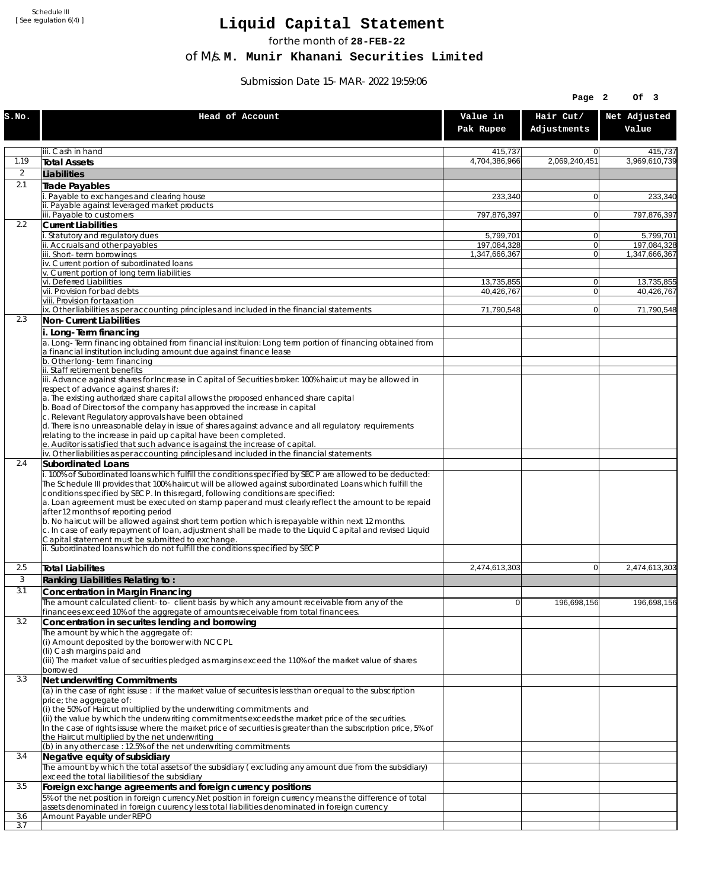Schedule III [ See regulation 6(4) ]

## **Liquid Capital Statement**

for the month of **28-FEB-22**

of M/s. **M. Munir Khanani Securities Limited**

Submission Date 15-MAR-2022 19:59:06

|                |                                                                                                                                                                                                             |                              | Page 2                     | Of 3                         |
|----------------|-------------------------------------------------------------------------------------------------------------------------------------------------------------------------------------------------------------|------------------------------|----------------------------|------------------------------|
| S.NO.          | Head of Account                                                                                                                                                                                             | Value in<br>Pak Rupee        | Hair Cut/<br>Adjustments   | Net Adjusted<br>Value        |
|                | iii. Cash in hand                                                                                                                                                                                           | 415.737                      | 0                          | 415,737                      |
| 1.19           | Total Assets                                                                                                                                                                                                | 4,704,386,966                | 2,069,240,451              | 3.969.610.739                |
| $\overline{2}$ | Liabilities                                                                                                                                                                                                 |                              |                            |                              |
| 2.1            | Trade Payables                                                                                                                                                                                              |                              |                            |                              |
|                | i. Payable to exchanges and clearing house<br>ii. Payable against leveraged market products                                                                                                                 | 233,340                      | $\Omega$                   | 233,340                      |
|                | iii. Payable to customers                                                                                                                                                                                   | 797,876,397                  | $\Omega$                   | 797,876,397                  |
| 2.2            | <b>Current Liabilities</b>                                                                                                                                                                                  |                              |                            |                              |
|                | i. Statutory and regulatory dues                                                                                                                                                                            | 5,799,701                    | $\Omega$                   | 5,799,701                    |
|                | ii. Accruals and other payables<br>iii. Short-term borrowings                                                                                                                                               | 197,084,328<br>1.347.666.367 | $\overline{0}$<br>$\Omega$ | 197,084,328<br>1.347.666.367 |
|                | iv. Current portion of subordinated loans                                                                                                                                                                   |                              |                            |                              |
|                | v. Current portion of long term liabilities                                                                                                                                                                 |                              |                            |                              |
|                | vi. Deferred Liabilities                                                                                                                                                                                    | 13,735,855                   | $\Omega$                   | 13,735,855                   |
|                | vii. Provision for bad debts<br>viii. Provision for taxation                                                                                                                                                | 40,426,767                   | $\Omega$                   | 40,426,767                   |
|                | ix. Other liabilities as per accounting principles and included in the financial statements                                                                                                                 | 71,790,548                   | $\Omega$                   | 71,790,548                   |
| 2.3            | Non-Current Liabilities                                                                                                                                                                                     |                              |                            |                              |
|                | i. Long-Term financing                                                                                                                                                                                      |                              |                            |                              |
|                | a. Long-Term financing obtained from financial instituion: Long term portion of financing obtained from<br>a financial institution including amount due against finance lease                               |                              |                            |                              |
|                | b. Other long-term financing                                                                                                                                                                                |                              |                            |                              |
|                | ii. Staff retirement benefits<br>iii. Advance against shares for Increase in Capital of Securities broker: 100% haircut may be allowed in                                                                   |                              |                            |                              |
|                | respect of advance against shares if:                                                                                                                                                                       |                              |                            |                              |
|                | a. The existing authorized share capital allows the proposed enhanced share capital                                                                                                                         |                              |                            |                              |
|                | b. Boad of Directors of the company has approved the increase in capital<br>c. Relevant Regulatory approvals have been obtained                                                                             |                              |                            |                              |
|                | d. There is no unreasonable delay in issue of shares against advance and all regulatory requirements                                                                                                        |                              |                            |                              |
|                | relating to the increase in paid up capital have been completed.                                                                                                                                            |                              |                            |                              |
|                | e. Auditor is satisfied that such advance is against the increase of capital.<br>iv. Other liabilities as per accounting principles and included in the financial statements                                |                              |                            |                              |
| 2.4            | Subordinated Loans                                                                                                                                                                                          |                              |                            |                              |
|                | i. 100% of Subordinated loans which fulfill the conditions specified by SECP are allowed to be deducted:                                                                                                    |                              |                            |                              |
|                | The Schedule III provides that 100% haircut will be allowed against subordinated Loans which fulfill the                                                                                                    |                              |                            |                              |
|                | conditions specified by SECP. In this regard, following conditions are specified:<br>a. Loan agreement must be executed on stamp paper and must clearly reflect the amount to be repaid                     |                              |                            |                              |
|                | after 12 months of reporting period                                                                                                                                                                         |                              |                            |                              |
|                | b. No haircut will be allowed against short term portion which is repayable within next 12 months.                                                                                                          |                              |                            |                              |
|                | c. In case of early repayment of loan, adjustment shall be made to the Liquid Capital and revised Liquid<br>Capital statement must be submitted to exchange.                                                |                              |                            |                              |
|                | ii. Subordinated loans which do not fulfill the conditions specified by SECP                                                                                                                                |                              |                            |                              |
|                |                                                                                                                                                                                                             |                              |                            |                              |
| 2.5            | Total Liabilites                                                                                                                                                                                            | 2,474,613,303                | $\mathbf{0}$               | 2,474,613,303                |
| 3              | Ranking Liabilities Relating to:                                                                                                                                                                            |                              |                            |                              |
| 3.1            | <b>Concentration in Margin Financing</b>                                                                                                                                                                    |                              |                            |                              |
|                | The amount calculated client-to- client basis by which any amount receivable from any of the<br>financees exceed 10% of the aggregate of amounts receivable from total financees.                           | $\overline{0}$               | 196,698,156                | 196,698,156                  |
| 3.2            | Concentration in securites lending and borrowing                                                                                                                                                            |                              |                            |                              |
|                | The amount by which the aggregate of:                                                                                                                                                                       |                              |                            |                              |
|                | (i) Amount deposited by the borrower with NCCPL                                                                                                                                                             |                              |                            |                              |
|                | (Ii) Cash margins paid and<br>(iii) The market value of securities pledged as margins exceed the 110% of the market value of shares                                                                         |                              |                            |                              |
|                | borrowed                                                                                                                                                                                                    |                              |                            |                              |
| 3.3            | Net underwriting Commitments                                                                                                                                                                                |                              |                            |                              |
|                | $\overline{a}$ ) in the case of right issuse: if the market value of securites is less than or equal to the subscription                                                                                    |                              |                            |                              |
|                | price; the aggregate of:<br>(i) the 50% of Haircut multiplied by the underwriting commitments and                                                                                                           |                              |                            |                              |
|                | (ii) the value by which the underwriting commitments exceeds the market price of the securities.                                                                                                            |                              |                            |                              |
|                | In the case of rights issuse where the market price of securities is greater than the subscription price, 5% of                                                                                             |                              |                            |                              |
|                | the Haircut multiplied by the net underwriting<br>(b) in any other case : 12.5% of the net underwriting commitments                                                                                         |                              |                            |                              |
| 3.4            | Negative equity of subsidiary                                                                                                                                                                               |                              |                            |                              |
|                | The amount by which the total assets of the subsidiary (excluding any amount due from the subsidiary)                                                                                                       |                              |                            |                              |
|                | exceed the total liabilities of the subsidiary                                                                                                                                                              |                              |                            |                              |
| 3.5            | Foreign exchange agreements and foreign currency positions                                                                                                                                                  |                              |                            |                              |
|                | 5% of the net position in foreign currency. Net position in foreign currency means the difference of total<br>assets denominated in foreign cuurency less total liabilities denominated in foreign currency |                              |                            |                              |
| 3.6            | Amount Payable under REPO                                                                                                                                                                                   |                              |                            |                              |
| 3.7            |                                                                                                                                                                                                             |                              |                            |                              |